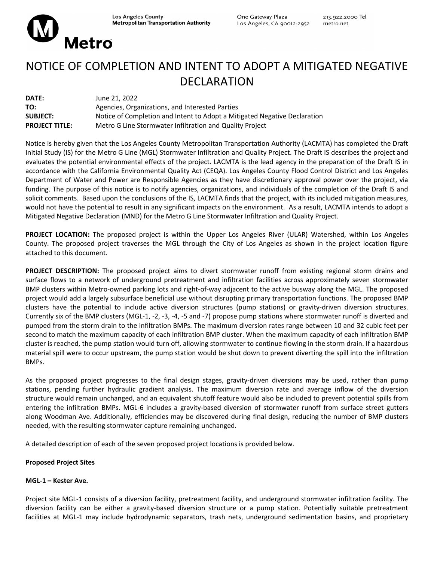Metro

# NOTICE OF COMPLETION AND INTENT TO ADOPT A MITIGATED NEGATIVE DECLARATION

| DATE:                 | June 21, 2022                                                             |
|-----------------------|---------------------------------------------------------------------------|
| TO:                   | Agencies, Organizations, and Interested Parties                           |
| <b>SUBJECT:</b>       | Notice of Completion and Intent to Adopt a Mitigated Negative Declaration |
| <b>PROJECT TITLE:</b> | Metro G Line Stormwater Infiltration and Quality Project                  |

Notice is hereby given that the Los Angeles County Metropolitan Transportation Authority (LACMTA) has completed the Draft Initial Study (IS) for the Metro G Line (MGL) Stormwater Infiltration and Quality Project. The Draft IS describes the project and evaluates the potential environmental effects of the project. LACMTA is the lead agency in the preparation of the Draft IS in accordance with the California Environmental Quality Act (CEQA). Los Angeles County Flood Control District and Los Angeles Department of Water and Power are Responsible Agencies as they have discretionary approval power over the project, via funding. The purpose of this notice is to notify agencies, organizations, and individuals of the completion of the Draft IS and solicit comments. Based upon the conclusions of the IS, LACMTA finds that the project, with its included mitigation measures, would not have the potential to result in any significant impacts on the environment. As a result, LACMTA intends to adopt a Mitigated Negative Declaration (MND) for the Metro G Line Stormwater Infiltration and Quality Project.

**PROJECT LOCATION:** The proposed project is within the Upper Los Angeles River (ULAR) Watershed, within Los Angeles County. The proposed project traverses the MGL through the City of Los Angeles as shown in the project location figure attached to this document.

**PROJECT DESCRIPTION:** The proposed project aims to divert stormwater runoff from existing regional storm drains and surface flows to a network of underground pretreatment and infiltration facilities across approximately seven stormwater BMP clusters within Metro‐owned parking lots and right‐of‐way adjacent to the active busway along the MGL. The proposed project would add a largely subsurface beneficial use without disrupting primary transportation functions. The proposed BMP clusters have the potential to include active diversion structures (pump stations) or gravity-driven diversion structures. Currently six of the BMP clusters (MGL‐1, ‐2, ‐3, ‐4, ‐5 and ‐7) propose pump stations where stormwater runoff is diverted and pumped from the storm drain to the infiltration BMPs. The maximum diversion rates range between 10 and 32 cubic feet per second to match the maximum capacity of each infiltration BMP cluster. When the maximum capacity of each infiltration BMP cluster is reached, the pump station would turn off, allowing stormwater to continue flowing in the storm drain. If a hazardous material spill were to occur upstream, the pump station would be shut down to prevent diverting the spill into the infiltration BMPs.

As the proposed project progresses to the final design stages, gravity-driven diversions may be used, rather than pump stations, pending further hydraulic gradient analysis. The maximum diversion rate and average inflow of the diversion structure would remain unchanged, and an equivalent shutoff feature would also be included to prevent potential spills from entering the infiltration BMPs. MGL-6 includes a gravity-based diversion of stormwater runoff from surface street gutters along Woodman Ave. Additionally, efficiencies may be discovered during final design, reducing the number of BMP clusters needed, with the resulting stormwater capture remaining unchanged.

A detailed description of each of the seven proposed project locations is provided below.

## **Proposed Project Sites**

# **MGL‐1 – Kester Ave.**

Project site MGL‐1 consists of a diversion facility, pretreatment facility, and underground stormwater infiltration facility. The diversion facility can be either a gravity‐based diversion structure or a pump station. Potentially suitable pretreatment facilities at MGL-1 may include hydrodynamic separators, trash nets, underground sedimentation basins, and proprietary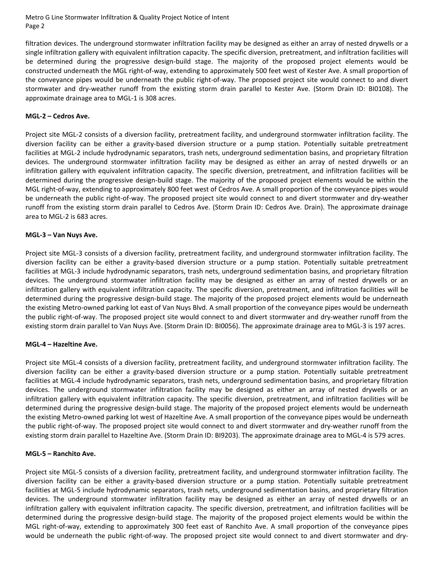Metro G Line Stormwater Infiltration & Quality Project Notice of Intent Page 2

filtration devices. The underground stormwater infiltration facility may be designed as either an array of nested drywells or a single infiltration gallery with equivalent infiltration capacity. The specific diversion, pretreatment, and infiltration facilities will be determined during the progressive design‐build stage. The majority of the proposed project elements would be constructed underneath the MGL right‐of‐way, extending to approximately 500 feet west of Kester Ave. A small proportion of the conveyance pipes would be underneath the public right‐of‐way. The proposed project site would connect to and divert stormwater and dry‐weather runoff from the existing storm drain parallel to Kester Ave. (Storm Drain ID: BI0108). The approximate drainage area to MGL‐1 is 308 acres.

## **MGL‐2 – Cedros Ave.**

Project site MGL‐2 consists of a diversion facility, pretreatment facility, and underground stormwater infiltration facility. The diversion facility can be either a gravity‐based diversion structure or a pump station. Potentially suitable pretreatment facilities at MGL‐2 include hydrodynamic separators, trash nets, underground sedimentation basins, and proprietary filtration devices. The underground stormwater infiltration facility may be designed as either an array of nested drywells or an infiltration gallery with equivalent infiltration capacity. The specific diversion, pretreatment, and infiltration facilities will be determined during the progressive design‐build stage. The majority of the proposed project elements would be within the MGL right‐of‐way, extending to approximately 800 feet west of Cedros Ave. A small proportion of the conveyance pipes would be underneath the public right-of-way. The proposed project site would connect to and divert stormwater and dry-weather runoff from the existing storm drain parallel to Cedros Ave. (Storm Drain ID: Cedros Ave. Drain). The approximate drainage area to MGL‐2 is 683 acres.

#### **MGL‐3 – Van Nuys Ave.**

Project site MGL‐3 consists of a diversion facility, pretreatment facility, and underground stormwater infiltration facility. The diversion facility can be either a gravity‐based diversion structure or a pump station. Potentially suitable pretreatment facilities at MGL‐3 include hydrodynamic separators, trash nets, underground sedimentation basins, and proprietary filtration devices. The underground stormwater infiltration facility may be designed as either an array of nested drywells or an infiltration gallery with equivalent infiltration capacity. The specific diversion, pretreatment, and infiltration facilities will be determined during the progressive design‐build stage. The majority of the proposed project elements would be underneath the existing Metro‐owned parking lot east of Van Nuys Blvd. A small proportion of the conveyance pipes would be underneath the public right‐of‐way. The proposed project site would connect to and divert stormwater and dry‐weather runoff from the existing storm drain parallel to Van Nuys Ave. (Storm Drain ID: BI0056). The approximate drainage area to MGL‐3 is 197 acres.

#### **MGL‐4 – Hazeltine Ave.**

Project site MGL‐4 consists of a diversion facility, pretreatment facility, and underground stormwater infiltration facility. The diversion facility can be either a gravity‐based diversion structure or a pump station. Potentially suitable pretreatment facilities at MGL‐4 include hydrodynamic separators, trash nets, underground sedimentation basins, and proprietary filtration devices. The underground stormwater infiltration facility may be designed as either an array of nested drywells or an infiltration gallery with equivalent infiltration capacity. The specific diversion, pretreatment, and infiltration facilities will be determined during the progressive design-build stage. The majority of the proposed project elements would be underneath the existing Metro‐owned parking lot west of Hazeltine Ave. A small proportion of the conveyance pipes would be underneath the public right‐of‐way. The proposed project site would connect to and divert stormwater and dry‐weather runoff from the existing storm drain parallel to Hazeltine Ave. (Storm Drain ID: BI9203). The approximate drainage area to MGL‐4 is 579 acres.

#### **MGL‐5 – Ranchito Ave.**

Project site MGL‐5 consists of a diversion facility, pretreatment facility, and underground stormwater infiltration facility. The diversion facility can be either a gravity‐based diversion structure or a pump station. Potentially suitable pretreatment facilities at MGL‐5 include hydrodynamic separators, trash nets, underground sedimentation basins, and proprietary filtration devices. The underground stormwater infiltration facility may be designed as either an array of nested drywells or an infiltration gallery with equivalent infiltration capacity. The specific diversion, pretreatment, and infiltration facilities will be determined during the progressive design‐build stage. The majority of the proposed project elements would be within the MGL right‐of‐way, extending to approximately 300 feet east of Ranchito Ave. A small proportion of the conveyance pipes would be underneath the public right-of-way. The proposed project site would connect to and divert stormwater and dry-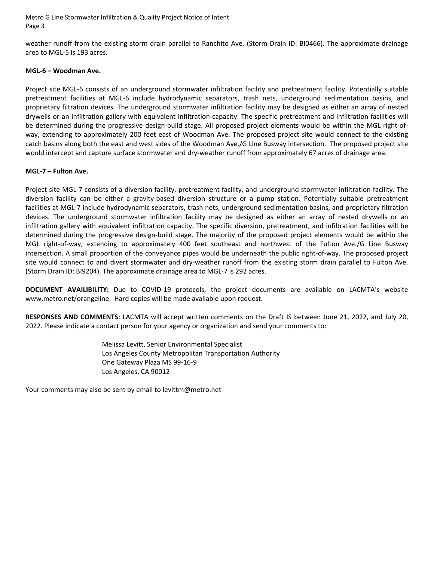Metro G Line Stormwater Infiltration & Quality Project Notice of Intent Page 3

weather runoff from the existing storm drain parallel to Ranchito Ave. (Storm Drain ID: BI0466). The approximate drainage area to MGL‐5 is 193 acres.

#### **MGL‐6 – Woodman Ave.**

Project site MGL‐6 consists of an underground stormwater infiltration facility and pretreatment facility. Potentially suitable pretreatment facilities at MGL‐6 include hydrodynamic separators, trash nets, underground sedimentation basins, and proprietary filtration devices. The underground stormwater infiltration facility may be designed as either an array of nested drywells or an infiltration gallery with equivalent infiltration capacity. The specific pretreatment and infiltration facilities will be determined during the progressive design-build stage. All proposed project elements would be within the MGL right-ofway, extending to approximately 200 feet east of Woodman Ave. The proposed project site would connect to the existing catch basins along both the east and west sides of the Woodman Ave./G Line Busway intersection. The proposed project site would intercept and capture surface stormwater and dry-weather runoff from approximately 67 acres of drainage area.

#### **MGL‐7 – Fulton Ave.**

Project site MGL‐7 consists of a diversion facility, pretreatment facility, and underground stormwater infiltration facility. The diversion facility can be either a gravity‐based diversion structure or a pump station. Potentially suitable pretreatment facilities at MGL‐7 include hydrodynamic separators, trash nets, underground sedimentation basins, and proprietary filtration devices. The underground stormwater infiltration facility may be designed as either an array of nested drywells or an infiltration gallery with equivalent infiltration capacity. The specific diversion, pretreatment, and infiltration facilities will be determined during the progressive design-build stage. The majority of the proposed project elements would be within the MGL right‐of‐way, extending to approximately 400 feet southeast and northwest of the Fulton Ave./G Line Busway intersection. A small proportion of the conveyance pipes would be underneath the public right‐of‐way. The proposed project site would connect to and divert stormwater and dry-weather runoff from the existing storm drain parallel to Fulton Ave. (Storm Drain ID: BI9204). The approximate drainage area to MGL‐7 is 292 acres.

**DOCUMENT AVAILIBILITY:** Due to COVID‐19 protocols, the project documents are available on LACMTA's website www.metro.net/orangeline. Hard copies will be made available upon request.

**RESPONSES AND COMMENTS**: LACMTA will accept written comments on the Draft IS between June 21, 2022, and July 20, 2022. Please indicate a contact person for your agency or organization and send your comments to:

> Melissa Levitt, Senior Environmental Specialist Los Angeles County Metropolitan Transportation Authority One Gateway Plaza MS 99‐16‐9 Los Angeles, CA 90012

Your comments may also be sent by email to levittm@metro.net